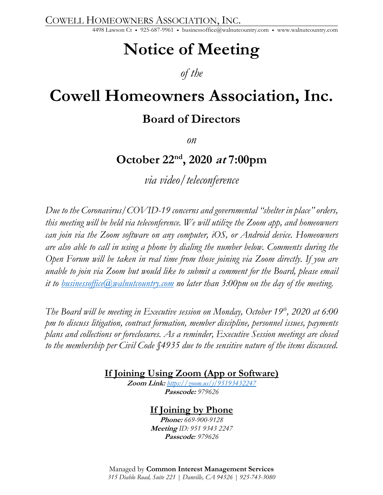COWELL HOMEOWNERS ASSOCIATION, INC.

4498 Lawson Ct • 925-687-9961 • businessoffice@walnutcountry.com • www.walnutcountry.com

# **Notice of Meeting**

### *of the*

# **Cowell Homeowners Association, Inc.**

## **Board of Directors**

*on*

# **October 22nd, 2020 at 7:00pm**

*via video/teleconference*

*Due to the Coronavirus/COVID-19 concerns and governmental "shelter in place" orders, this meeting will be held via teleconference. We will utilize the Zoom app, and homeowners can join via the Zoom software on any computer, iOS, or Android device. Homeowners are also able to call in using a phone by dialing the number below. Comments during the Open Forum will be taken in real time from those joining via Zoom directly. If you are unable to join via Zoom but would like to submit a comment for the Board, please email it to businessoffice@walnutcountry.com no later than 3:00pm on the day of the meeting.*

*The Board will be meeting in Executive session on Monday, October 19<sup>th</sup>, 2020 at 6:00 pm to discuss litigation, contract formation, member discipline, personnel issues, payments plans and collections or foreclosures. As a reminder, Executive Session meetings are closed to the membership per Civil Code §4935 due to the sensitive nature of the items discussed.* 

**If Joining Using Zoom (App or Software)**

**Zoom Link:** *https://zoom.us/j/95193432247* **Passcode:** *979626*

### **If Joining by Phone**

**Phone:** *669-900-9128* **Meeting** *ID: 951 9343 2247* **Passcode***: 979626*

Managed by **Common Interest Management Services** *315 Diablo Road, Suite 221 | Danville, CA 94526 | 925-743-3080*